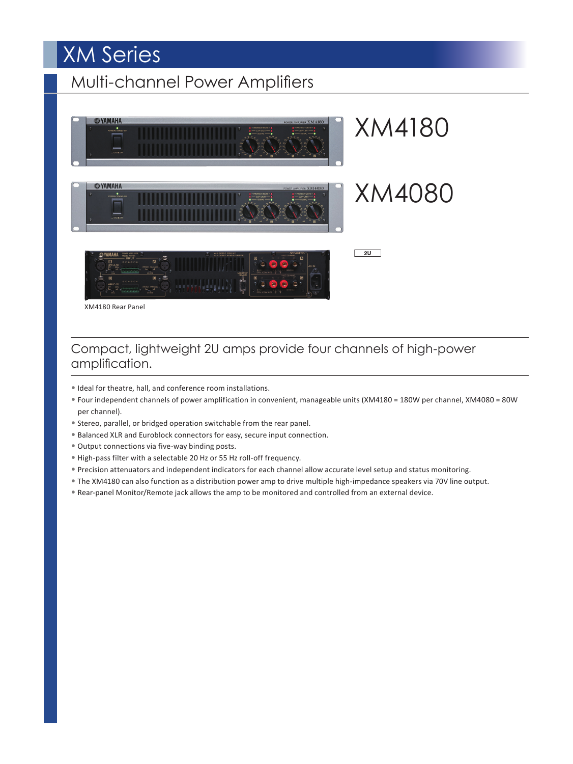# XM Series

# Multi-channel Power Amplifiers



XM4180 Rear Panel

## Compact, lightweight 2U amps provide four channels of high-power amplification.

- Ideal for theatre, hall, and conference room installations.
- Four independent channels of power amplification in convenient, manageable units (XM4180 = 180W per channel, XM4080 = 80W per channel).
- Stereo, parallel, or bridged operation switchable from the rear panel.
- Balanced XLR and Euroblock connectors for easy, secure input connection.
- Output connections via five-way binding posts.
- High-pass filter with a selectable 20 Hz or 55 Hz roll-off frequency.
- Precision attenuators and independent indicators for each channel allow accurate level setup and status monitoring.
- The XM4180 can also function as a distribution power amp to drive multiple high-impedance speakers via 70V line output.
- Rear-panel Monitor/Remote jack allows the amp to be monitored and controlled from an external device.